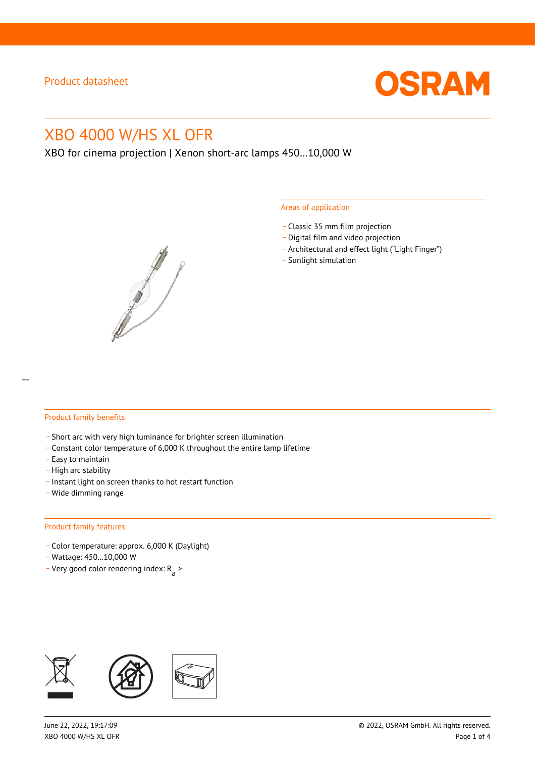

# XBO 4000 W/HS XL OFR

XBO for cinema projection | Xenon short-arc lamps 450…10,000 W



#### Areas of application

- \_ Classic 35 mm film projection
- \_ Digital film and video projection
- \_ Architectural and effect light ("Light Finger")
- Sunlight simulation

#### Product family benefits

- \_ Short arc with very high luminance for brighter screen illumination
- \_ Constant color temperature of 6,000 K throughout the entire lamp lifetime
- \_ Easy to maintain
- High arc stability
- \_ Instant light on screen thanks to hot restart function
- \_ Wide dimming range

#### Product family features

- \_ Color temperature: approx. 6,000 K (Daylight)
- \_ Wattage: 450…10,000 W
- Very good color rendering index:  $R_{\text{a}}$  >

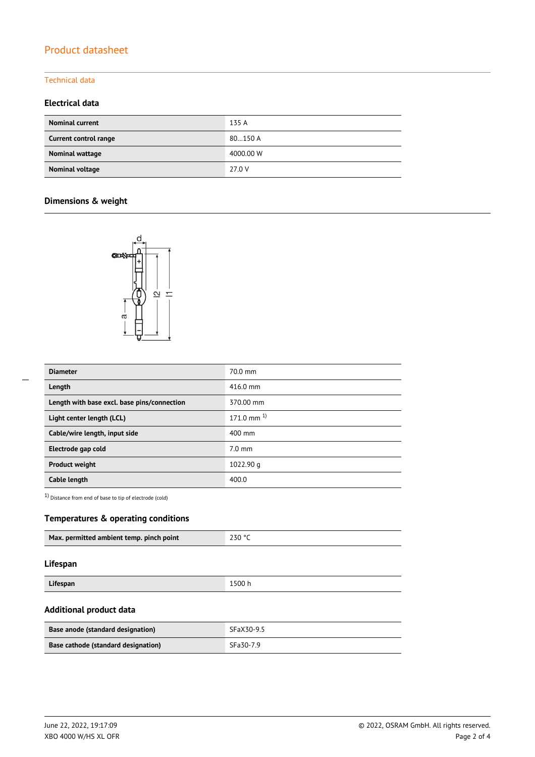# Product datasheet

### Technical data

### **Electrical data**

| <b>Nominal current</b> | 135 A     |
|------------------------|-----------|
| Current control range  | 80150 A   |
| Nominal wattage        | 4000.00 W |
| Nominal voltage        | 27.0 V    |

## **Dimensions & weight**



| <b>Diameter</b>                             | 70.0 mm                 |
|---------------------------------------------|-------------------------|
| Length                                      | $416.0 \text{ mm}$      |
| Length with base excl. base pins/connection | 370.00 mm               |
| Light center length (LCL)                   | $171.0 \text{ mm}^{-1}$ |
| Cable/wire length, input side               | 400 mm                  |
| Electrode gap cold                          | $7.0 \text{ mm}$        |
| <b>Product weight</b>                       | 1022.90 g               |
| Cable length                                | 400.0                   |

1) Distance from end of base to tip of electrode (cold)

### **Temperatures & operating conditions**

|--|

#### **Lifespan**

| 1500h<br>Lifespan |  |
|-------------------|--|

### **Additional product data**

| Base anode (standard designation)   | SFaX30-9.5 |  |
|-------------------------------------|------------|--|
| Base cathode (standard designation) | SFa30-7.9  |  |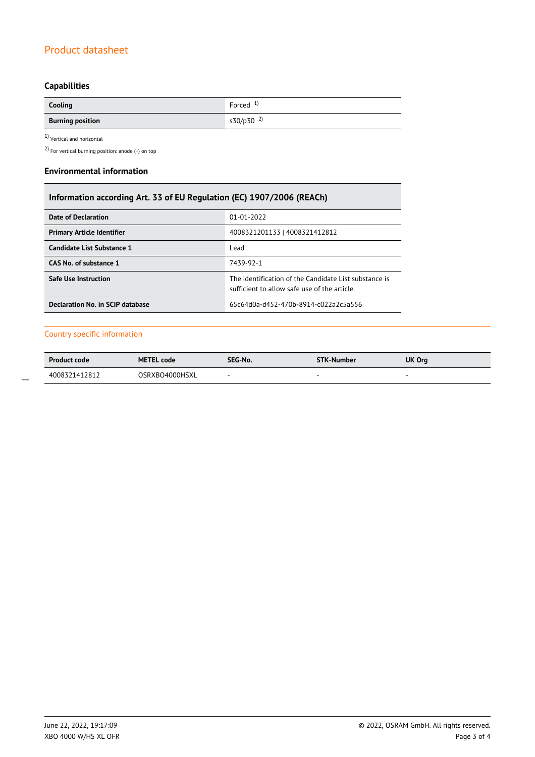# Product datasheet

# **Capabilities**

| Cooling                        | Forced $1$            |
|--------------------------------|-----------------------|
| <b>Burning position</b><br>$-$ | s30/p30 <sup>2)</sup> |

 $1$ Vertical and horizontal  $\,$ 

2) For vertical burning position: anode (+) on top

#### **Environmental information**

| Information according Art. 33 of EU Regulation (EC) 1907/2006 (REACh) |                                                                                                      |  |  |
|-----------------------------------------------------------------------|------------------------------------------------------------------------------------------------------|--|--|
| Date of Declaration                                                   | $01 - 01 - 2022$                                                                                     |  |  |
| 4008321201133   4008321412812<br><b>Primary Article Identifier</b>    |                                                                                                      |  |  |
| Candidate List Substance 1                                            | Lead                                                                                                 |  |  |
| CAS No. of substance 1                                                | 7439-92-1                                                                                            |  |  |
| <b>Safe Use Instruction</b>                                           | The identification of the Candidate List substance is<br>sufficient to allow safe use of the article |  |  |
| Declaration No. in SCIP database                                      | 65c64d0a-d452-470b-8914-c022a2c5a556                                                                 |  |  |

#### Country specific information

| <b>Product code</b> | <b>METEL code</b> | SEG-No. | <b>STK-Number</b> | UK Org |
|---------------------|-------------------|---------|-------------------|--------|
| 4008321412812       | OSRXBO4000HSXL    |         |                   |        |